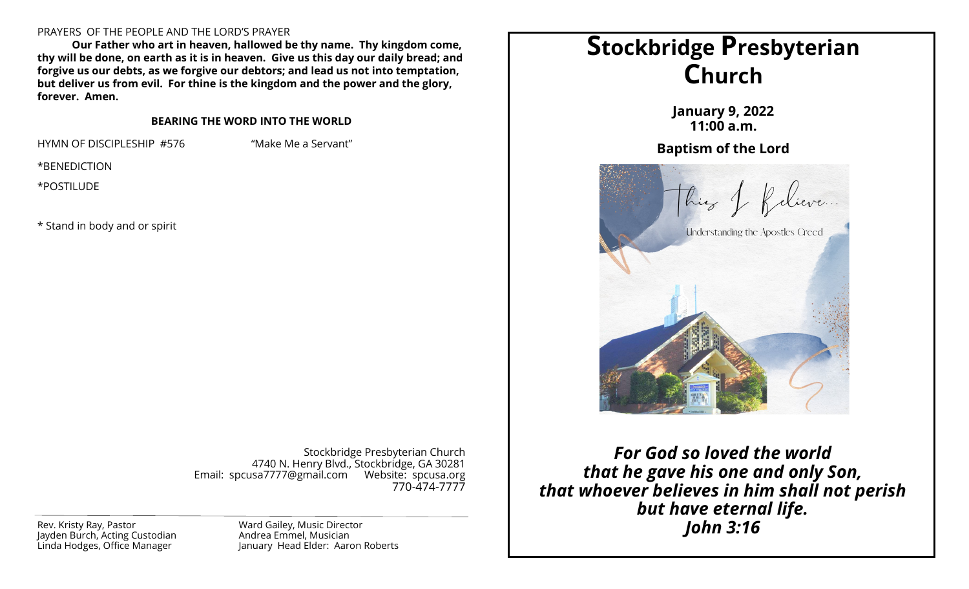#### PRAYERS OF THE PEOPLE AND THE LORD'S PRAYER

**Our Father who art in heaven, hallowed be thy name. Thy kingdom come, thy will be done, on earth as it is in heaven. Give us this day our daily bread; and forgive us our debts, as we forgive our debtors; and lead us not into temptation, but deliver us from evil. For thine is the kingdom and the power and the glory, forever. Amen.**

## **BEARING THE WORD INTO THE WORLD**

HYMN OF DISCIPLESHIP #576 "Make Me a Servant"

\*BENEDICTION

\*POSTILUDE

\* Stand in body and or spirit

Stockbridge Presbyterian Church 4740 N. Henry Blvd., Stockbridge, GA 30281 Email: spcusa7777@gmail.com Website: spcusa.org 770-474-7777

Jayden Burch, Acting Custodian Linda Hodges, Office Manager

Ward Gailey, Music Director Andrea Emmel, Musician January Head Elder: Aaron Roberts



*For God so loved the world that he gave his one and only Son, that whoever believes in him shall not perish but have eternal life.*  Rev. Kristy Ray, Pastor **Example 2:16** Ward Gailey, Music Director **Contact Contact Contact Contact Contact Contact Contact Contact Contact Contact Contact Contact Contact Contact Contact Contact Contact Contact Contact Co**